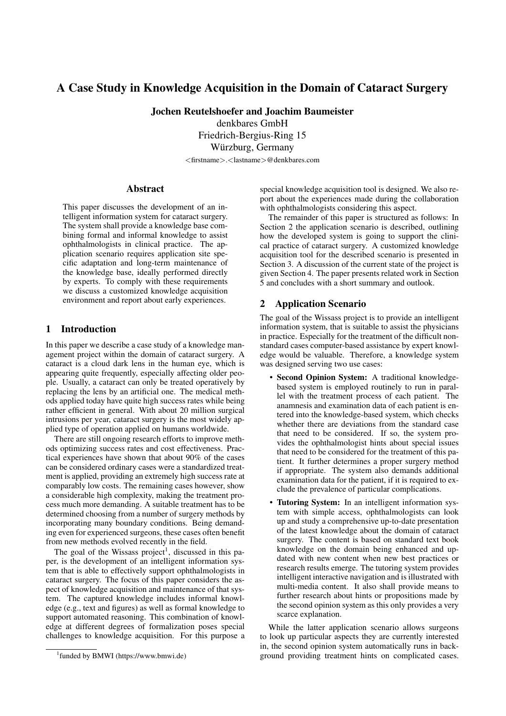# A Case Study in Knowledge Acquisition in the Domain of Cataract Surgery

Jochen Reutelshoefer and Joachim Baumeister

denkbares GmbH

Friedrich-Bergius-Ring 15

Würzburg, Germany

<firstname>.<lastname>@denkbares.com

#### Abstract

This paper discusses the development of an intelligent information system for cataract surgery. The system shall provide a knowledge base combining formal and informal knowledge to assist ophthalmologists in clinical practice. The application scenario requires application site specific adaptation and long-term maintenance of the knowledge base, ideally performed directly by experts. To comply with these requirements we discuss a customized knowledge acquisition environment and report about early experiences.

#### 1 Introduction

In this paper we describe a case study of a knowledge management project within the domain of cataract surgery. A cataract is a cloud dark lens in the human eye, which is appearing quite frequently, especially affecting older people. Usually, a cataract can only be treated operatively by replacing the lens by an artificial one. The medical methods applied today have quite high success rates while being rather efficient in general. With about 20 million surgical intrusions per year, cataract surgery is the most widely applied type of operation applied on humans worldwide.

There are still ongoing research efforts to improve methods optimizing success rates and cost effectiveness. Practical experiences have shown that about 90% of the cases can be considered ordinary cases were a standardized treatment is applied, providing an extremely high success rate at comparably low costs. The remaining cases however, show a considerable high complexity, making the treatment process much more demanding. A suitable treatment has to be determined choosing from a number of surgery methods by incorporating many boundary conditions. Being demanding even for experienced surgeons, these cases often benefit from new methods evolved recently in the field.

The goal of the Wissass project<sup>1</sup>, discussed in this paper, is the development of an intelligent information system that is able to effectively support ophthalmologists in cataract surgery. The focus of this paper considers the aspect of knowledge acquisition and maintenance of that system. The captured knowledge includes informal knowledge (e.g., text and figures) as well as formal knowledge to support automated reasoning. This combination of knowledge at different degrees of formalization poses special challenges to knowledge acquisition. For this purpose a

special knowledge acquisition tool is designed. We also report about the experiences made during the collaboration with ophthalmologists considering this aspect.

The remainder of this paper is structured as follows: In Section 2 the application scenario is described, outlining how the developed system is going to support the clinical practice of cataract surgery. A customized knowledge acquisition tool for the described scenario is presented in Section 3. A discussion of the current state of the project is given Section 4. The paper presents related work in Section 5 and concludes with a short summary and outlook.

#### 2 Application Scenario

The goal of the Wissass project is to provide an intelligent information system, that is suitable to assist the physicians in practice. Especially for the treatment of the difficult nonstandard cases computer-based assistance by expert knowledge would be valuable. Therefore, a knowledge system was designed serving two use cases:

- Second Opinion System: A traditional knowledgebased system is employed routinely to run in parallel with the treatment process of each patient. The anamnesis and examination data of each patient is entered into the knowledge-based system, which checks whether there are deviations from the standard case that need to be considered. If so, the system provides the ophthalmologist hints about special issues that need to be considered for the treatment of this patient. It further determines a proper surgery method if appropriate. The system also demands additional examination data for the patient, if it is required to exclude the prevalence of particular complications.
- Tutoring System: In an intelligent information system with simple access, ophthalmologists can look up and study a comprehensive up-to-date presentation of the latest knowledge about the domain of cataract surgery. The content is based on standard text book knowledge on the domain being enhanced and updated with new content when new best practices or research results emerge. The tutoring system provides intelligent interactive navigation and is illustrated with multi-media content. It also shall provide means to further research about hints or propositions made by the second opinion system as this only provides a very scarce explanation.

While the latter application scenario allows surgeons to look up particular aspects they are currently interested in, the second opinion system automatically runs in background providing treatment hints on complicated cases.

<sup>1</sup> funded by BMWI (https://www.bmwi.de)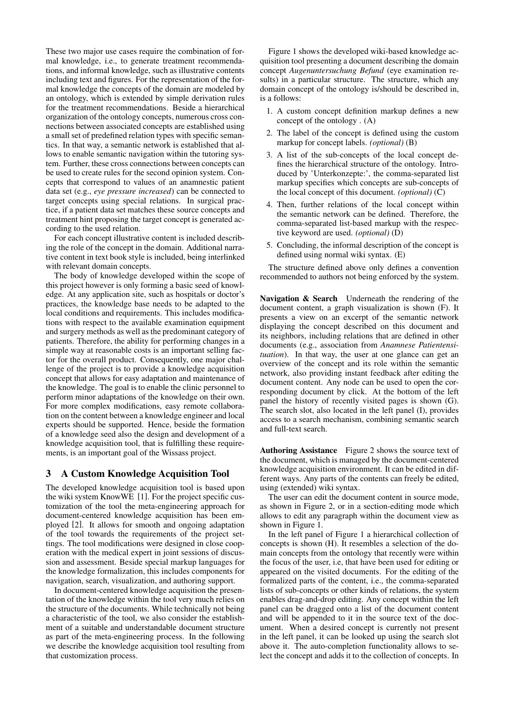These two major use cases require the combination of formal knowledge, i.e., to generate treatment recommendations, and informal knowledge, such as illustrative contents including text and figures. For the representation of the formal knowledge the concepts of the domain are modeled by an ontology, which is extended by simple derivation rules for the treatment recommendations. Beside a hierarchical organization of the ontology concepts, numerous cross connections between associated concepts are established using a small set of predefined relation types with specific semantics. In that way, a semantic network is established that allows to enable semantic navigation within the tutoring system. Further, these cross connections between concepts can be used to create rules for the second opinion system. Concepts that correspond to values of an anamnestic patient data set (e.g., *eye pressure increased*) can be connected to target concepts using special relations. In surgical practice, if a patient data set matches these source concepts and treatment hint proposing the target concept is generated according to the used relation.

For each concept illustrative content is included describing the role of the concept in the domain. Additional narrative content in text book style is included, being interlinked with relevant domain concepts.

The body of knowledge developed within the scope of this project however is only forming a basic seed of knowledge. At any application site, such as hospitals or doctor's practices, the knowledge base needs to be adapted to the local conditions and requirements. This includes modifications with respect to the available examination equipment and surgery methods as well as the predominant category of patients. Therefore, the ability for performing changes in a simple way at reasonable costs is an important selling factor for the overall product. Consequently, one major challenge of the project is to provide a knowledge acquisition concept that allows for easy adaptation and maintenance of the knowledge. The goal is to enable the clinic personnel to perform minor adaptations of the knowledge on their own. For more complex modifications, easy remote collaboration on the content between a knowledge engineer and local experts should be supported. Hence, beside the formation of a knowledge seed also the design and development of a knowledge acquisition tool, that is fulfilling these requirements, is an important goal of the Wissass project.

## 3 A Custom Knowledge Acquisition Tool

The developed knowledge acquisition tool is based upon the wiki system KnowWE [1]. For the project specific customization of the tool the meta-engineering approach for document-centered knowledge acquisition has been employed [2]. It allows for smooth and ongoing adaptation of the tool towards the requirements of the project settings. The tool modifications were designed in close cooperation with the medical expert in joint sessions of discussion and assessment. Beside special markup languages for the knowledge formalization, this includes components for navigation, search, visualization, and authoring support.

In document-centered knowledge acquisition the presentation of the knowledge within the tool very much relies on the structure of the documents. While technically not being a characteristic of the tool, we also consider the establishment of a suitable and understandable document structure as part of the meta-engineering process. In the following we describe the knowledge acquisition tool resulting from that customization process.

Figure 1 shows the developed wiki-based knowledge acquisition tool presenting a document describing the domain concept *Augenuntersuchung Befund* (eye examination results) in a particular structure. The structure, which any domain concept of the ontology is/should be described in, is a follows:

- 1. A custom concept definition markup defines a new concept of the ontology . (A)
- 2. The label of the concept is defined using the custom markup for concept labels. *(optional)* (B)
- 3. A list of the sub-concepts of the local concept defines the hierarchical structure of the ontology. Introduced by 'Unterkonzepte:', the comma-separated list markup specifies which concepts are sub-concepts of the local concept of this document. *(optional)* (C)
- 4. Then, further relations of the local concept within the semantic network can be defined. Therefore, the comma-separated list-based markup with the respective keyword are used. *(optional)* (D)
- 5. Concluding, the informal description of the concept is defined using normal wiki syntax. (E)

The structure defined above only defines a convention recommended to authors not being enforced by the system.

Navigation & Search Underneath the rendering of the document content, a graph visualization is shown (F). It presents a view on an excerpt of the semantic network displaying the concept described on this document and its neighbors, including relations that are defined in other documents (e.g., association from *Anamnese Patientensituation*). In that way, the user at one glance can get an overview of the concept and its role within the semantic network, also providing instant feedback after editing the document content. Any node can be used to open the corresponding document by click. At the bottom of the left panel the history of recently visited pages is shown (G). The search slot, also located in the left panel (I), provides access to a search mechanism, combining semantic search and full-text search.

Authoring Assistance Figure 2 shows the source text of the document, which is managed by the document-centered knowledge acquisition environment. It can be edited in different ways. Any parts of the contents can freely be edited, using (extended) wiki syntax.

The user can edit the document content in source mode, as shown in Figure 2, or in a section-editing mode which allows to edit any paragraph within the document view as shown in Figure 1.

In the left panel of Figure 1 a hierarchical collection of concepts is shown (H). It resembles a selection of the domain concepts from the ontology that recently were within the focus of the user, i.e, that have been used for editing or appeared on the visited documents. For the editing of the formalized parts of the content, i.e., the comma-separated lists of sub-concepts or other kinds of relations, the system enables drag-and-drop editing. Any concept within the left panel can be dragged onto a list of the document content and will be appended to it in the source text of the document. When a desired concept is currently not present in the left panel, it can be looked up using the search slot above it. The auto-completion functionality allows to select the concept and adds it to the collection of concepts. In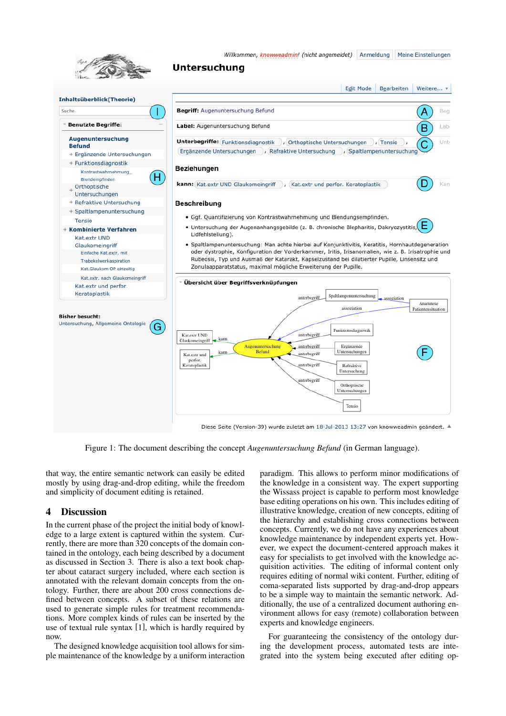

Willkommen, knowweadmin! (nicht angemeldet) Anmeldung Meine Einstellungen

# **Untersuchung**



Figure 1: The document describing the concept *Augenuntersuchung Befund* (in German language).

that way, the entire semantic network can easily be edited mostly by using drag-and-drop editing, while the freedom and simplicity of document editing is retained.

# 4 Discussion

In the current phase of the project the initial body of knowledge to a large extent is captured within the system. Currently, there are more than 320 concepts of the domain contained in the ontology, each being described by a document as discussed in Section 3. There is also a text book chapter about cataract surgery included, where each section is annotated with the relevant domain concepts from the ontology. Further, there are about 200 cross connections defined between concepts. A subset of these relations are used to generate simple rules for treatment recommendations. More complex kinds of rules can be inserted by the use of textual rule syntax [1], which is hardly required by now.

The designed knowledge acquisition tool allows for simple maintenance of the knowledge by a uniform interaction paradigm. This allows to perform minor modifications of the knowledge in a consistent way. The expert supporting the Wissass project is capable to perform most knowledge base editing operations on his own. This includes editing of illustrative knowledge, creation of new concepts, editing of the hierarchy and establishing cross connections between concepts. Currently, we do not have any experiences about knowledge maintenance by independent experts yet. However, we expect the document-centered approach makes it easy for specialists to get involved with the knowledge acquisition activities. The editing of informal content only requires editing of normal wiki content. Further, editing of coma-separated lists supported by drag-and-drop appears to be a simple way to maintain the semantic network. Additionally, the use of a centralized document authoring environment allows for easy (remote) collaboration between experts and knowledge engineers.

For guaranteeing the consistency of the ontology during the development process, automated tests are integrated into the system being executed after editing op-